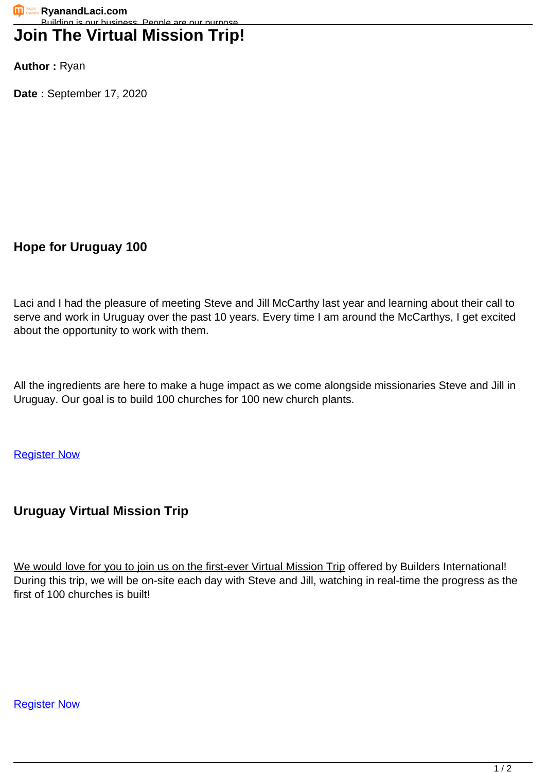## **Join The Virtual Mission Trip!**

**Author :** Ryan

**Date :** September 17, 2020

**Hope for Uruguay 100**

Laci and I had the pleasure of meeting Steve and Jill McCarthy last year and learning about their call to serve and work in Uruguay over the past 10 years. Every time I am around the McCarthys, I get excited about the opportunity to work with them.

All the ingredients are here to make a huge impact as we come alongside missionaries Steve and Jill in Uruguay. Our goal is to build 100 churches for 100 new church plants.

**[Register Now](https://www.builduruguay.org/)** 

## **Uruguay Virtual Mission Trip**

We would love for you to join us on the first-ever Virtual Mission Trip offered by Builders International! During this trip, we will be on-site each day with Steve and Jill, watching in real-time the progress as the first of 100 churches is built!

**[Register Now](https://www.builduruguay.org/)**